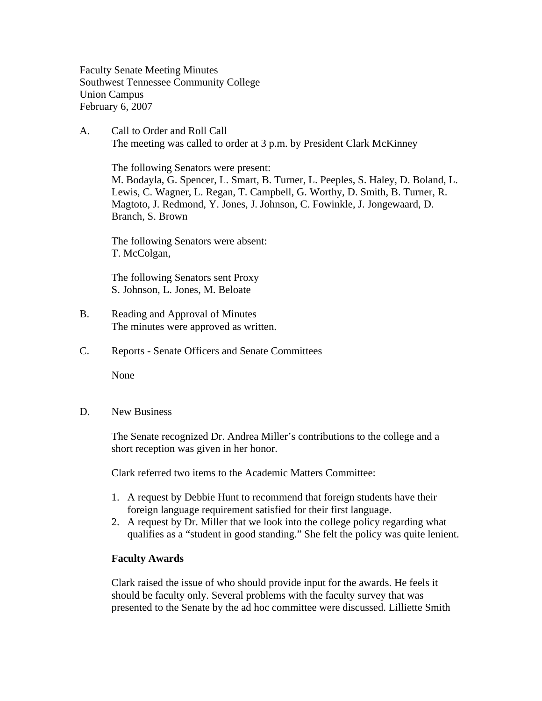Faculty Senate Meeting Minutes Southwest Tennessee Community College Union Campus February 6, 2007

A. Call to Order and Roll Call The meeting was called to order at 3 p.m. by President Clark McKinney

 The following Senators were present: M. Bodayla, G. Spencer, L. Smart, B. Turner, L. Peeples, S. Haley, D. Boland, L. Lewis, C. Wagner, L. Regan, T. Campbell, G. Worthy, D. Smith, B. Turner, R. Magtoto, J. Redmond, Y. Jones, J. Johnson, C. Fowinkle, J. Jongewaard, D. Branch, S. Brown

The following Senators were absent: T. McColgan,

The following Senators sent Proxy S. Johnson, L. Jones, M. Beloate

- B. Reading and Approval of Minutes The minutes were approved as written.
- C. Reports Senate Officers and Senate Committees

None

D. New Business

The Senate recognized Dr. Andrea Miller's contributions to the college and a short reception was given in her honor.

Clark referred two items to the Academic Matters Committee:

- 1. A request by Debbie Hunt to recommend that foreign students have their foreign language requirement satisfied for their first language.
- 2. A request by Dr. Miller that we look into the college policy regarding what qualifies as a "student in good standing." She felt the policy was quite lenient.

## **Faculty Awards**

Clark raised the issue of who should provide input for the awards. He feels it should be faculty only. Several problems with the faculty survey that was presented to the Senate by the ad hoc committee were discussed. Lilliette Smith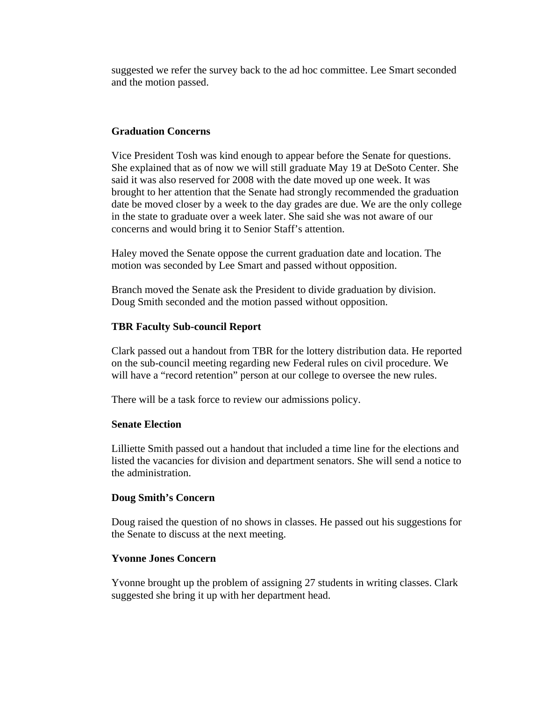suggested we refer the survey back to the ad hoc committee. Lee Smart seconded and the motion passed.

## **Graduation Concerns**

Vice President Tosh was kind enough to appear before the Senate for questions. She explained that as of now we will still graduate May 19 at DeSoto Center. She said it was also reserved for 2008 with the date moved up one week. It was brought to her attention that the Senate had strongly recommended the graduation date be moved closer by a week to the day grades are due. We are the only college in the state to graduate over a week later. She said she was not aware of our concerns and would bring it to Senior Staff's attention.

Haley moved the Senate oppose the current graduation date and location. The motion was seconded by Lee Smart and passed without opposition.

Branch moved the Senate ask the President to divide graduation by division. Doug Smith seconded and the motion passed without opposition.

## **TBR Faculty Sub-council Report**

Clark passed out a handout from TBR for the lottery distribution data. He reported on the sub-council meeting regarding new Federal rules on civil procedure. We will have a "record retention" person at our college to oversee the new rules.

There will be a task force to review our admissions policy.

### **Senate Election**

Lilliette Smith passed out a handout that included a time line for the elections and listed the vacancies for division and department senators. She will send a notice to the administration.

#### **Doug Smith's Concern**

Doug raised the question of no shows in classes. He passed out his suggestions for the Senate to discuss at the next meeting.

### **Yvonne Jones Concern**

Yvonne brought up the problem of assigning 27 students in writing classes. Clark suggested she bring it up with her department head.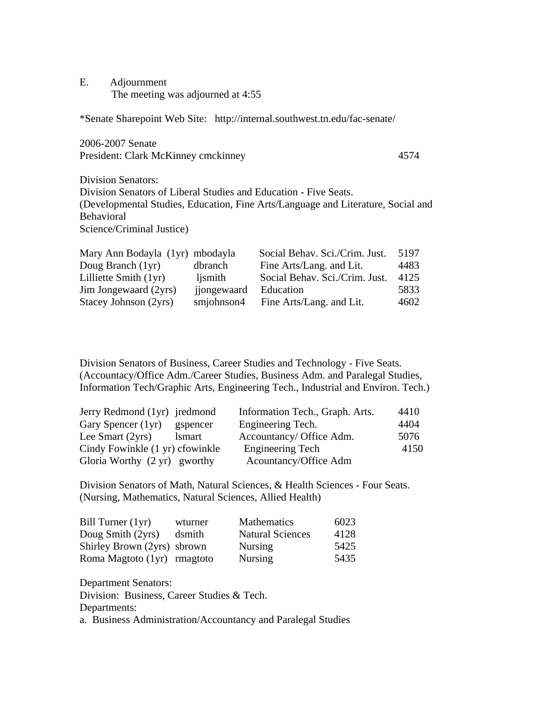E. Adjournment The meeting was adjourned at 4:55

\*Senate Sharepoint Web Site: http://internal.southwest.tn.edu/fac-senate/

2006-2007 Senate President: Clark McKinney cmckinney 4574

Division Senators: Division Senators of Liberal Studies and Education - Five Seats. (Developmental Studies, Education, Fine Arts/Language and Literature, Social and Behavioral Science/Criminal Justice)

| Mary Ann Bodayla (1yr) mbodayla |             | Social Behav. Sci./Crim. Just. | 5197 |
|---------------------------------|-------------|--------------------------------|------|
| Doug Branch (1yr)               | dbranch     | Fine Arts/Lang. and Lit.       | 4483 |
| Lilliette Smith (1yr)           | ljsmith     | Social Behav. Sci./Crim. Just. | 4125 |
| Jim Jongewaard (2yrs)           | jjongewaard | Education                      | 5833 |
| Stacey Johnson (2yrs)           | smjohnson4  | Fine Arts/Lang. and Lit.       | 4602 |

Division Senators of Business, Career Studies and Technology - Five Seats. (Accountacy/Office Adm./Career Studies, Business Adm. and Paralegal Studies, Information Tech/Graphic Arts, Engineering Tech., Industrial and Environ. Tech.)

| Jerry Redmond (1yr) jredmond    |               | Information Tech., Graph. Arts. | 4410 |
|---------------------------------|---------------|---------------------------------|------|
| Gary Spencer (1yr)              | gspencer      | Engineering Tech.               | 4404 |
| Lee Smart (2yrs)                | <i>lsmart</i> | Accountancy/ Office Adm.        | 5076 |
| Cindy Fowinkle (1 yr) cfowinkle |               | <b>Engineering Tech</b>         | 4150 |
| Gloria Worthy (2 yr) gworthy    |               | Acountancy/Office Adm           |      |

Division Senators of Math, Natural Sciences, & Health Sciences - Four Seats. (Nursing, Mathematics, Natural Sciences, Allied Health)

| Bill Turner (1yr)           | wturner | Mathematics             | 6023 |
|-----------------------------|---------|-------------------------|------|
| Doug Smith (2yrs)           | dsmith  | <b>Natural Sciences</b> | 4128 |
| Shirley Brown (2yrs) sbrown |         | <b>Nursing</b>          | 5425 |
| Roma Magtoto (1yr) rmagtoto |         | <b>Nursing</b>          | 5435 |

Department Senators: Division: Business, Career Studies & Tech. Departments: a. Business Administration/Accountancy and Paralegal Studies